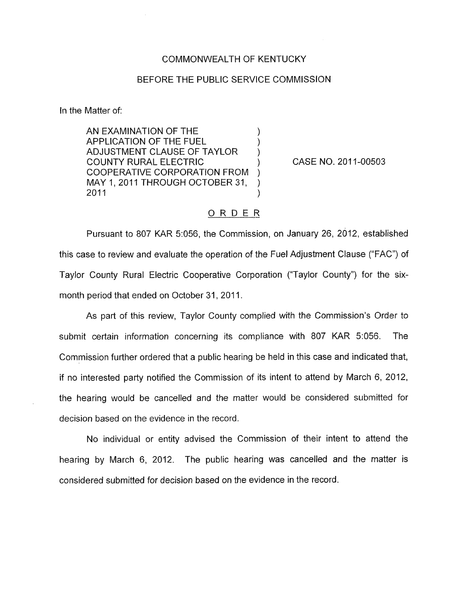## COMMONWEALTH OF KENTUCKY

## BEFORE THE PUBLIC SERVICE COMMISSION

In the Matter of:

AN EXAMINATION OF THE<br>APPLICATION OF THE FUEL ADJUSTMENT CLAUSE OF TAYLOR COOPERATIVE CORPORATION FROM ) MAY 1, 2011 THROUGH OCTOBER 31, 2011 COUNTY RURAL ELECTRIC ) CASE NO. 201 1-00503  $2011$  )

## ORDER\_

Pursuant to 807 KAR 5:056, the Commission, on January 26, 2012, established this case to review and evaluate the operation of the Fuel Adjustment Clause ("FAC") of Taylor County Rural Electric Cooperative Corporation ("Taylor County") for the sixmonth period that ended on October 31, 2011.

As part of this review, Taylor County complied with the Commission's Order to submit certain information concerning its compliance with 807 KAR 5:056. The Commission further ordered that a public hearing be held in this case and indicated that, if no interested party notified the Commission of its intent to attend by March 6, 2012, the hearing would be cancelled and the matter would be considered submitted for decision based on the evidence in the record.

No individual or entity advised the Commission of their intent to attend the hearing by March 6, 2012. The public hearing was cancelled and the matter is considered submitted for decision based on the evidence in the record.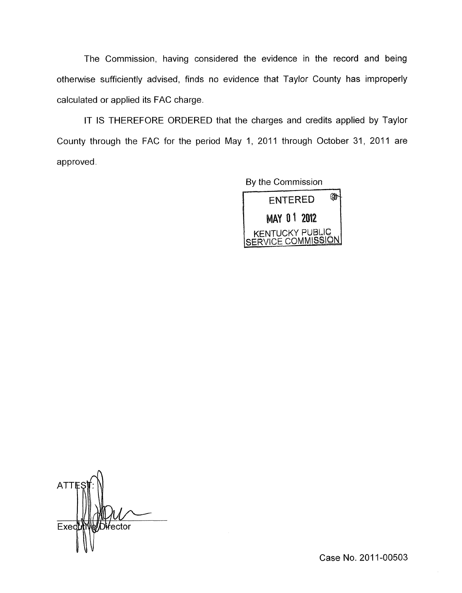The Commission, having considered the evidence in the record and being otherwise sufficiently advised, finds no evidence that Taylor County has improperly calculated or applied its FAC charge.

IT IS THEREFORE ORDERED that the charges and credits applied by Taylor County through the FAC for the period May 1, 2011 through October 31, 2011 are approved.

By the Commission



**ATTI Di**⁄fector Exec

Case No. 2011-00503